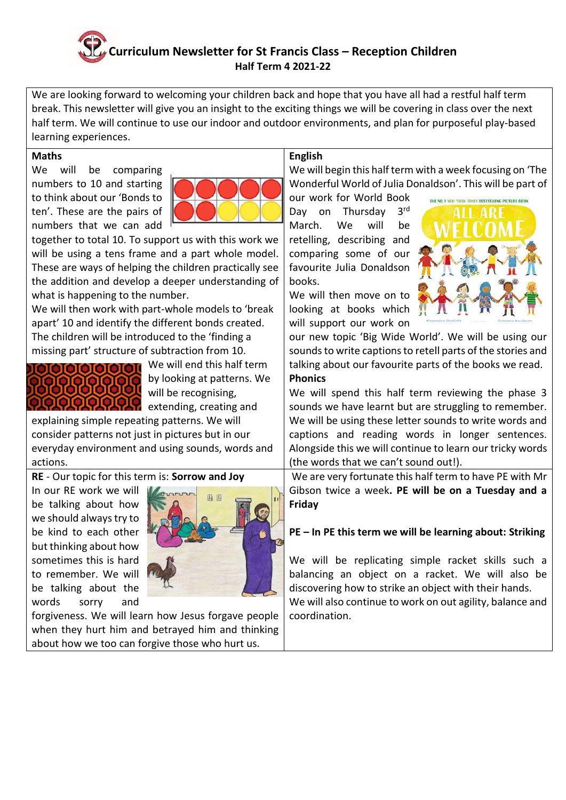# **Curriculum Newsletter for St Francis Class – Reception Children Half Term 4 2021-22**

We are looking forward to welcoming your children back and hope that you have all had a restful half term break. This newsletter will give you an insight to the exciting things we will be covering in class over the next half term. We will continue to use our indoor and outdoor environments, and plan for purposeful play-based learning experiences.

#### **Maths**

We will be comparing numbers to 10 and starting to think about our 'Bonds to ten'. These are the pairs of numbers that we can add



together to total 10. To support us with this work we will be using a tens frame and a part whole model. These are ways of helping the children practically see the addition and develop a deeper understanding of what is happening to the number.

We will then work with part-whole models to 'break apart' 10 and identify the different bonds created. The children will be introduced to the 'finding a missing part' structure of subtraction from 10.



We will end this half term by looking at patterns. We will be recognising,

explaining simple repeating patterns. We will consider patterns not just in pictures but in our everyday environment and using sounds, words and actions.

**RE** - Our topic for this term is: **Sorrow and Joy**

In our RE work we will be talking about how we should always try to be kind to each other but thinking about how sometimes this is hard to remember. We will be talking about the words sorry and



forgiveness. We will learn how Jesus forgave people when they hurt him and betrayed him and thinking about how we too can forgive those who hurt us.

# **English**

We will begin this half term with a week focusing on 'The Wonderful World of Julia Donaldson'. This will be part of

our work for World Book Day on Thursday 3rd March. We will be retelling, describing and comparing some of our favourite Julia Donaldson books.

We will then move on to looking at books which will support our work on



our new topic 'Big Wide World'. We will be using our sounds to write captions to retell parts of the stories and talking about our favourite parts of the books we read. **Phonics** 

We will spend this half term reviewing the phase 3 sounds we have learnt but are struggling to remember. We will be using these letter sounds to write words and captions and reading words in longer sentences. Alongside this we will continue to learn our tricky words (the words that we can't sound out!).

We are very fortunate this half term to have PE with Mr Gibson twice a week**. PE will be on a Tuesday and a Friday** 

# **PE – In PE this term we will be learning about: Striking**

We will be replicating simple racket skills such a balancing an object on a racket. We will also be discovering how to strike an object with their hands. We will also continue to work on out agility, balance and coordination.